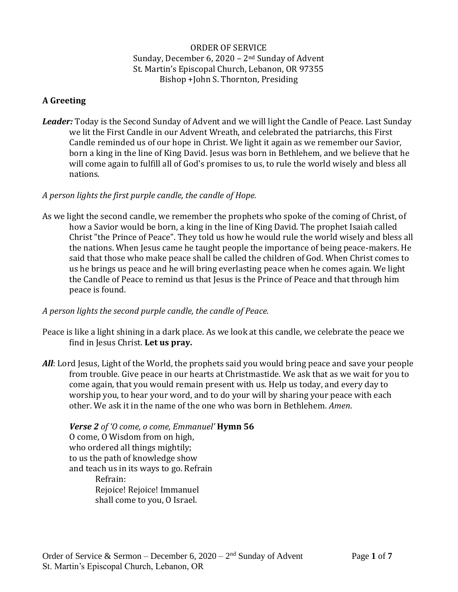ORDER OF SERVICE Sunday, December 6, 2020 – 2nd Sunday of Advent St. Martin's Episcopal Church, Lebanon, OR 97355 Bishop +John S. Thornton, Presiding

# **A Greeting**

*Leader:* Today is the Second Sunday of Advent and we will light the Candle of Peace. Last Sunday we lit the First Candle in our Advent Wreath, and celebrated the patriarchs, this First Candle reminded us of our hope in Christ. We light it again as we remember our Savior, born a king in the line of King David. Jesus was born in Bethlehem, and we believe that he will come again to fulfill all of God's promises to us, to rule the world wisely and bless all nations.

## *A person lights the first purple candle, the candle of Hope.*

As we light the second candle, we remember the prophets who spoke of the coming of Christ, of how a Savior would be born, a king in the line of King David. The prophet Isaiah called Christ "the Prince of Peace". They told us how he would rule the world wisely and bless all the nations. When Jesus came he taught people the importance of being peace-makers. He said that those who make peace shall be called the children of God. When Christ comes to us he brings us peace and he will bring everlasting peace when he comes again. We light the Candle of Peace to remind us that Jesus is the Prince of Peace and that through him peace is found.

## *A person lights the second purple candle, the candle of Peace.*

- Peace is like a light shining in a dark place. As we look at this candle, we celebrate the peace we find in Jesus Christ. **Let us pray.**
- *All*: Lord Jesus, Light of the World, the prophets said you would bring peace and save your people from trouble. Give peace in our hearts at Christmastide. We ask that as we wait for you to come again, that you would remain present with us. Help us today, and every day to worship you, to hear your word, and to do your will by sharing your peace with each other. We ask it in the name of the one who was born in Bethlehem. *Amen*.

*Verse 2 of 'O come, o come, Emmanuel'* **Hymn 56** O come, O Wisdom from on high, who ordered all things mightily; to us the path of knowledge show and teach us in its ways to go. Refrain Refrain: Rejoice! Rejoice! Immanuel shall come to you, O Israel.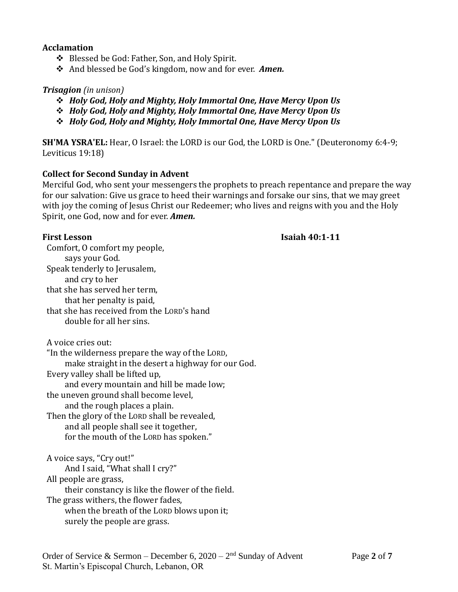#### **Acclamation**

- ❖ Blessed be God: Father, Son, and Holy Spirit.
- ❖ And blessed be God's kingdom, now and for ever. *Amen.*

#### *Trisagion (in unison)*

- ❖ *Holy God, Holy and Mighty, Holy Immortal One, Have Mercy Upon Us*
- ❖ *Holy God, Holy and Mighty, Holy Immortal One, Have Mercy Upon Us*
- ❖ *Holy God, Holy and Mighty, Holy Immortal One, Have Mercy Upon Us*

**SH'MA YSRA'EL:** Hear, O Israel: the LORD is our God, the LORD is One." (Deuteronomy 6:4-9; Leviticus 19:18)

#### **Collect for Second Sunday in Advent**

Merciful God, who sent your messengers the prophets to preach repentance and prepare the way for our salvation: Give us grace to heed their warnings and forsake our sins, that we may greet with joy the coming of Jesus Christ our Redeemer; who lives and reigns with you and the Holy Spirit, one God, now and for ever. *Amen.*

#### **First Lesson Isaiah 40:1-11**

Comfort, O comfort my people, says your God. Speak tenderly to Jerusalem, and cry to her that she has served her term, that her penalty is paid, that she has received from the LORD's hand double for all her sins.

A voice cries out:

"In the wilderness prepare the way of the LORD,

make straight in the desert a highway for our God.

Every valley shall be lifted up,

and every mountain and hill be made low;

the uneven ground shall become level,

and the rough places a plain.

Then the glory of the LORD shall be revealed, and all people shall see it together, for the mouth of the LORD has spoken."

A voice says, "Cry out!" And I said, "What shall I cry?" All people are grass, their constancy is like the flower of the field. The grass withers, the flower fades, when the breath of the LORD blows upon it; surely the people are grass.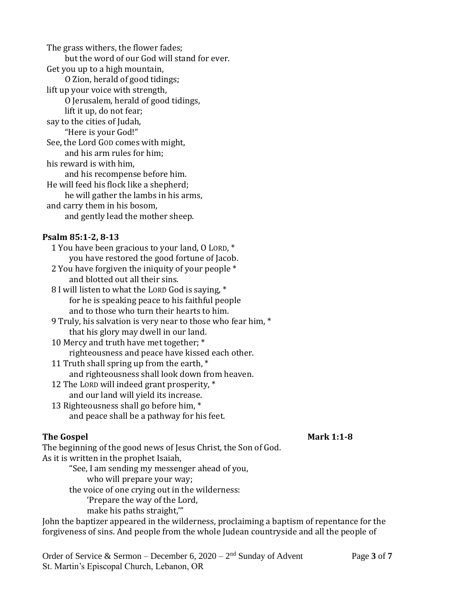The grass withers, the flower fades; but the word of our God will stand for ever. Get you up to a high mountain, O Zion, herald of good tidings; lift up your voice with strength, O Jerusalem, herald of good tidings, lift it up, do not fear; say to the cities of Judah, "Here is your God!" See, the Lord GOD comes with might, and his arm rules for him; his reward is with him, and his recompense before him. He will feed his flock like a shepherd; he will gather the lambs in his arms, and carry them in his bosom, and gently lead the mother sheep.

# **Psalm 85:1-2, 8-13**

1 You have been gracious to your land, O LORD, \* you have restored the good fortune of Jacob. 2 You have forgiven the iniquity of your people \* and blotted out all their sins. 8 I will listen to what the LORD God is saying, \* for he is speaking peace to his faithful people and to those who turn their hearts to him. 9 Truly, his salvation is very near to those who fear him, \* that his glory may dwell in our land. 10 Mercy and truth have met together; \* righteousness and peace have kissed each other. 11 Truth shall spring up from the earth, \* and righteousness shall look down from heaven. 12 The LORD will indeed grant prosperity, \*

and our land will yield its increase. 13 Righteousness shall go before him, \*

and peace shall be a pathway for his feet.

# **The Gospel Community Community Community Community Community Community Community Community Community Community Community Community Community Community Community Community Community Community Community Community Community**

The beginning of the good news of Jesus Christ, the Son of God. As it is written in the prophet Isaiah,

- "See, I am sending my messenger ahead of you,
	- who will prepare your way;

the voice of one crying out in the wilderness:

'Prepare the way of the Lord, make his paths straight,'"

John the baptizer appeared in the wilderness, proclaiming a baptism of repentance for the forgiveness of sins. And people from the whole Judean countryside and all the people of

Order of Service & Sermon – December 6, 2020 – 2<sup>nd</sup> Sunday of Advent Page 3 of 7 St. Martin's Episcopal Church, Lebanon, OR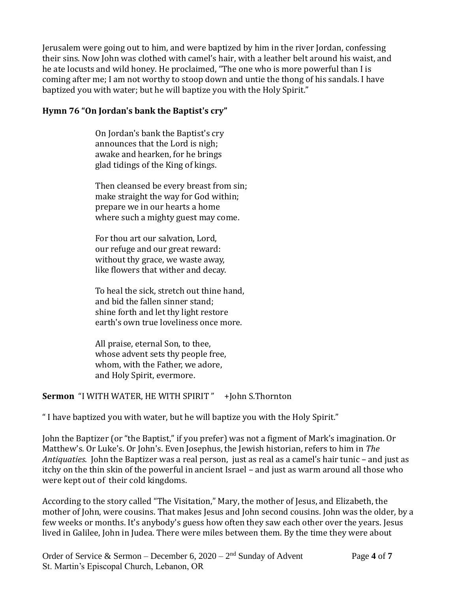Jerusalem were going out to him, and were baptized by him in the river Jordan, confessing their sins. Now John was clothed with camel's hair, with a leather belt around his waist, and he ate locusts and wild honey. He proclaimed, "The one who is more powerful than I is coming after me; I am not worthy to stoop down and untie the thong of his sandals. I have baptized you with water; but he will baptize you with the Holy Spirit."

# **Hymn 76 "On Jordan's bank the Baptist's cry"**

On Jordan's bank the Baptist's cry announces that the Lord is nigh; awake and hearken, for he brings glad tidings of the King of kings.

Then cleansed be every breast from sin; make straight the way for God within; prepare we in our hearts a home where such a mighty guest may come.

For thou art our salvation, Lord, our refuge and our great reward: without thy grace, we waste away, like flowers that wither and decay.

To heal the sick, stretch out thine hand, and bid the fallen sinner stand; shine forth and let thy light restore earth's own true loveliness once more.

All praise, eternal Son, to thee, whose advent sets thy people free, whom, with the Father, we adore, and Holy Spirit, evermore.

# **Sermon** "I WITH WATER, HE WITH SPIRIT " +John S.Thornton

" I have baptized you with water, but he will baptize you with the Holy Spirit."

John the Baptizer (or "the Baptist," if you prefer) was not a figment of Mark's imagination. Or Matthew's. Or Luke's. Or John's. Even Josephus, the Jewish historian, refers to him in *The Antiquaties*. John the Baptizer was a real person, just as real as a camel's hair tunic – and just as itchy on the thin skin of the powerful in ancient Israel – and just as warm around all those who were kept out of their cold kingdoms.

According to the story called "The Visitation," Mary, the mother of Jesus, and Elizabeth, the mother of John, were cousins. That makes Jesus and John second cousins. John was the older, by a few weeks or months. It's anybody's guess how often they saw each other over the years. Jesus lived in Galilee, John in Judea. There were miles between them. By the time they were about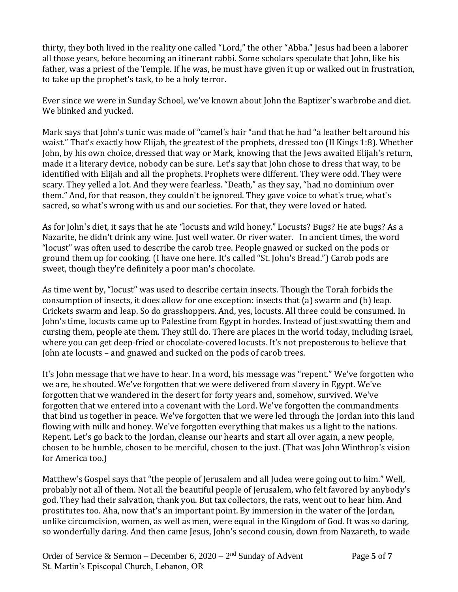thirty, they both lived in the reality one called "Lord," the other "Abba." Jesus had been a laborer all those years, before becoming an itinerant rabbi. Some scholars speculate that John, like his father, was a priest of the Temple. If he was, he must have given it up or walked out in frustration, to take up the prophet's task, to be a holy terror.

Ever since we were in Sunday School, we've known about John the Baptizer's warbrobe and diet. We blinked and yucked.

Mark says that John's tunic was made of "camel's hair "and that he had "a leather belt around his waist." That's exactly how Elijah, the greatest of the prophets, dressed too (II Kings 1:8). Whether John, by his own choice, dressed that way or Mark, knowing that the Jews awaited Elijah's return, made it a literary device, nobody can be sure. Let's say that John chose to dress that way, to be identified with Elijah and all the prophets. Prophets were different. They were odd. They were scary. They yelled a lot. And they were fearless. "Death," as they say, "had no dominium over them." And, for that reason, they couldn't be ignored. They gave voice to what's true, what's sacred, so what's wrong with us and our societies. For that, they were loved or hated.

As for John's diet, it says that he ate "locusts and wild honey." Locusts? Bugs? He ate bugs? As a Nazarite, he didn't drink any wine. Just well water. Or river water. In ancient times, the word "locust" was often used to describe the carob tree. People gnawed or sucked on the pods or ground them up for cooking. (I have one here. It's called "St. John's Bread.") Carob pods are sweet, though they're definitely a poor man's chocolate.

As time went by, "locust" was used to describe certain insects. Though the Torah forbids the consumption of insects, it does allow for one exception: insects that (a) swarm and (b) leap. Crickets swarm and leap. So do grasshoppers. And, yes, locusts. All three could be consumed. In John's time, locusts came up to Palestine from Egypt in hordes. Instead of just swatting them and cursing them, people ate them. They still do. There are places in the world today, including Israel, where you can get deep-fried or chocolate-covered locusts. It's not preposterous to believe that John ate locusts – and gnawed and sucked on the pods of carob trees.

It's John message that we have to hear. In a word, his message was "repent." We've forgotten who we are, he shouted. We've forgotten that we were delivered from slavery in Egypt. We've forgotten that we wandered in the desert for forty years and, somehow, survived. We've forgotten that we entered into a covenant with the Lord. We've forgotten the commandments that bind us together in peace. We've forgotten that we were led through the Jordan into this land flowing with milk and honey. We've forgotten everything that makes us a light to the nations. Repent. Let's go back to the Jordan, cleanse our hearts and start all over again, a new people, chosen to be humble, chosen to be merciful, chosen to the just. (That was John Winthrop's vision for America too.)

Matthew's Gospel says that "the people of Jerusalem and all Judea were going out to him." Well, probably not all of them. Not all the beautiful people of Jerusalem, who felt favored by anybody's god. They had their salvation, thank you. But tax collectors, the rats, went out to hear him. And prostitutes too. Aha, now that's an important point. By immersion in the water of the Jordan, unlike circumcision, women, as well as men, were equal in the Kingdom of God. It was so daring, so wonderfully daring. And then came Jesus, John's second cousin, down from Nazareth, to wade

Order of Service & Sermon – December 6, 2020 – 2<sup>nd</sup> Sunday of Advent Page 5 of 7 St. Martin's Episcopal Church, Lebanon, OR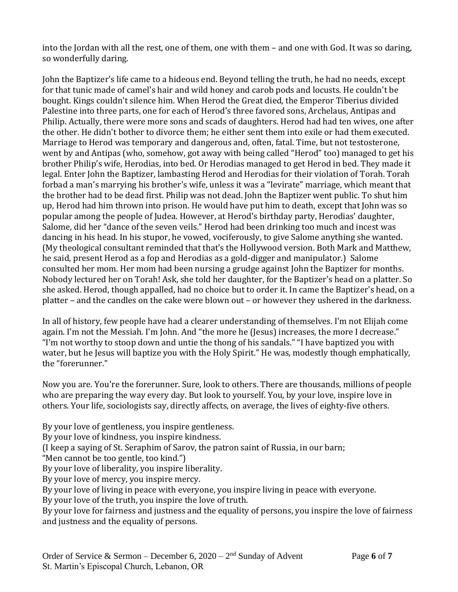into the Jordan with all the rest, one of them, one with them – and one with God. It was so daring, so wonderfully daring.

John the Baptizer's life came to a hideous end. Beyond telling the truth, he had no needs, except for that tunic made of camel's hair and wild honey and carob pods and locusts. He couldn't be bought. Kings couldn't silence him. When Herod the Great died, the Emperor Tiberius divided Palestine into three parts, one for each of Herod's three favored sons, Archelaus, Antipas and Philip. Actually, there were more sons and scads of daughters. Herod had had ten wives, one after the other. He didn't bother to divorce them; he either sent them into exile or had them executed. Marriage to Herod was temporary and dangerous and, often, fatal. Time, but not testosterone, went by and Antipas (who, somehow, got away with being called "Herod" too) managed to get his brother Philip's wife, Herodias, into bed. Or Herodias managed to get Herod in bed. They made it legal. Enter John the Baptizer, lambasting Herod and Herodias for their violation of Torah. Torah forbad a man's marrying his brother's wife, unless it was a "levirate" marriage, which meant that the brother had to be dead first. Philip was not dead. John the Baptizer went public. To shut him up, Herod had him thrown into prison. He would have put him to death, except that John was so popular among the people of Judea. However, at Herod's birthday party, Herodias' daughter, Salome, did her "dance of the seven veils." Herod had been drinking too much and incest was dancing in his head. In his stupor, he vowed, vociferously, to give Salome anything she wanted. (My theological consultant reminded that that's the Hollywood version. Both Mark and Matthew, he said, present Herod as a fop and Herodias as a gold-digger and manipulator.) Salome consulted her mom. Her mom had been nursing a grudge against John the Baptizer for months. Nobody lectured her on Torah! Ask, she told her daughter, for the Baptizer's head on a platter. So she asked. Herod, though appalled, had no choice but to order it. In came the Baptizer's head, on a platter – and the candles on the cake were blown out – or however they ushered in the darkness.

In all of history, few people have had a clearer understanding of themselves. I'm not Elijah come again. I'm not the Messiah. I'm John. And "the more he (Jesus) increases, the more I decrease." "I'm not worthy to stoop down and untie the thong of his sandals." "I have baptized you with water, but he Jesus will baptize you with the Holy Spirit." He was, modestly though emphatically, the "forerunner."

Now you are. You're the forerunner. Sure, look to others. There are thousands, millions of people who are preparing the way every day. But look to yourself. You, by your love, inspire love in others. Your life, sociologists say, directly affects, on average, the lives of eighty-five others.

By your love of gentleness, you inspire gentleness.

By your love of kindness, you inspire kindness.

(I keep a saying of St. Seraphim of Sarov, the patron saint of Russia, in our barn;

"Men cannot be too gentle, too kind.")

By your love of liberality, you inspire liberality.

By your love of mercy, you inspire mercy.

By your love of living in peace with everyone, you inspire living in peace with everyone.

By your love of the truth, you inspire the love of truth.

By your love for fairness and justness and the equality of persons, you inspire the love of fairness and justness and the equality of persons.